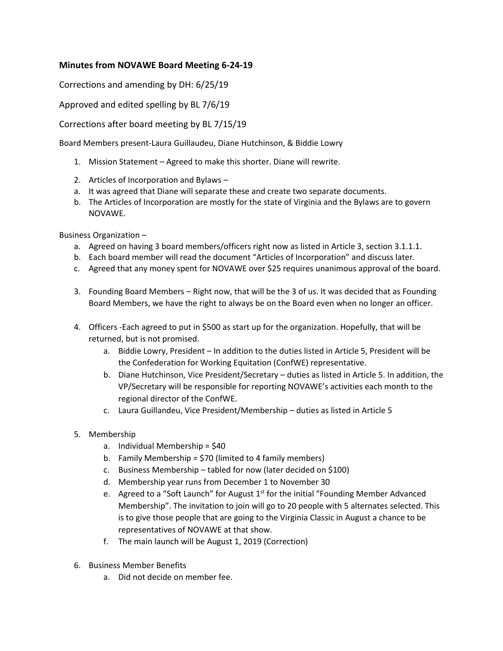## **Minutes from NOVAWE Board Meeting 6-24-19**

Corrections and amending by DH: 6/25/19

Approved and edited spelling by BL 7/6/19

Corrections after board meeting by BL 7/15/19

Board Members present-Laura Guillaudeu, Diane Hutchinson, & Biddie Lowry

- 1. Mission Statement Agreed to make this shorter. Diane will rewrite.
- 2. Articles of Incorporation and Bylaws –
- a. It was agreed that Diane will separate these and create two separate documents.
- b. The Articles of Incorporation are mostly for the state of Virginia and the Bylaws are to govern NOVAWE.

Business Organization –

- a. Agreed on having 3 board members/officers right now as listed in Article 3, section 3.1.1.1.
- b. Each board member will read the document "Articles of Incorporation" and discuss later.
- c. Agreed that any money spent for NOVAWE over \$25 requires unanimous approval of the board.
- 3. Founding Board Members Right now, that will be the 3 of us. It was decided that as Founding Board Members, we have the right to always be on the Board even when no longer an officer.
- 4. Officers -Each agreed to put in \$500 as start up for the organization. Hopefully, that will be returned, but is not promised.
	- a. Biddie Lowry, President In addition to the duties listed in Article 5, President will be the Confederation for Working Equitation (ConfWE) representative.
	- b. Diane Hutchinson, Vice President/Secretary duties as listed in Article 5. In addition, the VP/Secretary will be responsible for reporting NOVAWE's activities each month to the regional director of the ConfWE.
	- c. Laura Guillandeu, Vice President/Membership duties as listed in Article 5
- 5. Membership
	- a. Individual Membership = \$40
	- b. Family Membership = \$70 (limited to 4 family members)
	- c. Business Membership tabled for now (later decided on \$100)
	- d. Membership year runs from December 1 to November 30
	- e. Agreed to a "Soft Launch" for August  $1<sup>st</sup>$  for the initial "Founding Member Advanced Membership". The invitation to join will go to 20 people with 5 alternates selected. This is to give those people that are going to the Virginia Classic in August a chance to be representatives of NOVAWE at that show.
	- f. The main launch will be August 1, 2019 (Correction)
- 6. Business Member Benefits
	- a. Did not decide on member fee.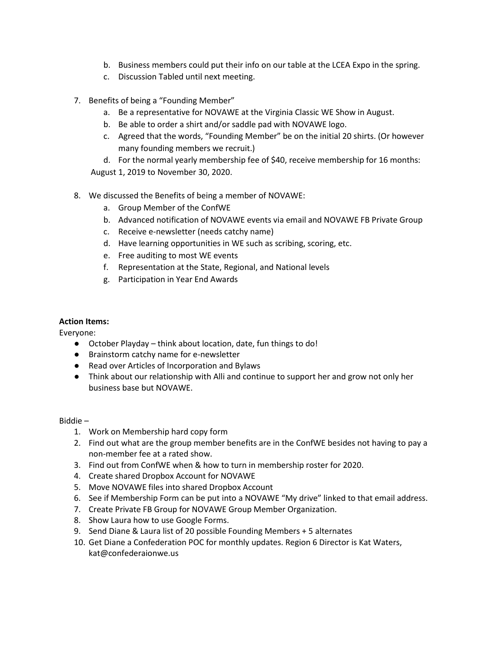- b. Business members could put their info on our table at the LCEA Expo in the spring.
- c. Discussion Tabled until next meeting.
- 7. Benefits of being a "Founding Member"
	- a. Be a representative for NOVAWE at the Virginia Classic WE Show in August.
	- b. Be able to order a shirt and/or saddle pad with NOVAWE logo.
	- c. Agreed that the words, "Founding Member" be on the initial 20 shirts. (Or however many founding members we recruit.)
	- d. For the normal yearly membership fee of \$40, receive membership for 16 months: August 1, 2019 to November 30, 2020.
- 8. We discussed the Benefits of being a member of NOVAWE:
	- a. Group Member of the ConfWE
	- b. Advanced notification of NOVAWE events via email and NOVAWE FB Private Group
	- c. Receive e-newsletter (needs catchy name)
	- d. Have learning opportunities in WE such as scribing, scoring, etc.
	- e. Free auditing to most WE events
	- f. Representation at the State, Regional, and National levels
	- g. Participation in Year End Awards

## **Action Items:**

Everyone:

- October Playday think about location, date, fun things to do!
- Brainstorm catchy name for e-newsletter
- Read over Articles of Incorporation and Bylaws
- Think about our relationship with Alli and continue to support her and grow not only her business base but NOVAWE.

## Biddie –

- 1. Work on Membership hard copy form
- 2. Find out what are the group member benefits are in the ConfWE besides not having to pay a non-member fee at a rated show.
- 3. Find out from ConfWE when & how to turn in membership roster for 2020.
- 4. Create shared Dropbox Account for NOVAWE
- 5. Move NOVAWE files into shared Dropbox Account
- 6. See if Membership Form can be put into a NOVAWE "My drive" linked to that email address.
- 7. Create Private FB Group for NOVAWE Group Member Organization.
- 8. Show Laura how to use Google Forms.
- 9. Send Diane & Laura list of 20 possible Founding Members + 5 alternates
- 10. Get Diane a Confederation POC for monthly updates. Region 6 Director is Kat Waters, kat@confederaionwe.us